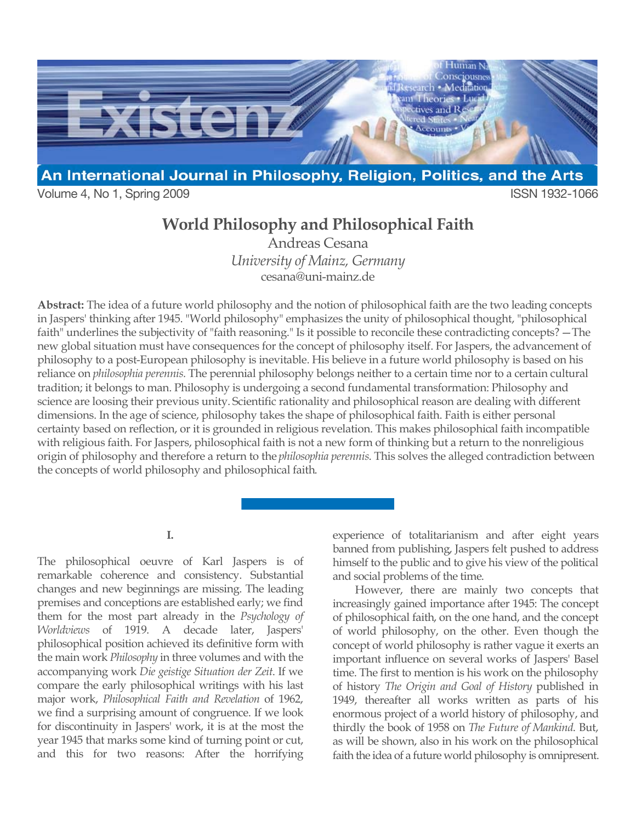

Volume 4, No 1, Spring 2009 **ISSN 1932-1066** 

# **World Philosophy and Philosophical Faith**

Andreas Cesana *University of Mainz, Germany* cesana@uni-mainz.de

**Abstract:** The idea of a future world philosophy and the notion of philosophical faith are the two leading concepts in Jaspers' thinking after 1945. "World philosophy" emphasizes the unity of philosophical thought, "philosophical faith" underlines the subjectivity of "faith reasoning." Is it possible to reconcile these contradicting concepts? —The new global situation must have consequences for the concept of philosophy itself. For Jaspers, the advancement of philosophy to a post-European philosophy is inevitable. His believe in a future world philosophy is based on his reliance on *philosophia perennis.* The perennial philosophy belongs neither to a certain time nor to a certain cultural tradition; it belongs to man. Philosophy is undergoing a second fundamental transformation: Philosophy and science are loosing their previous unity. Scientific rationality and philosophical reason are dealing with different dimensions. In the age of science, philosophy takes the shape of philosophical faith. Faith is either personal certainty based on reflection, or it is grounded in religious revelation. This makes philosophical faith incompatible with religious faith. For Jaspers, philosophical faith is not a new form of thinking but a return to the nonreligious origin of philosophy and therefore a return to the *philosophia perennis*. This solves the alleged contradiction between the concepts of world philosophy and philosophical faith.

**I.**

The philosophical oeuvre of Karl Jaspers is of remarkable coherence and consistency. Substantial changes and new beginnings are missing. The leading premises and conceptions are established early; we find them for the most part already in the *Psychology of Worldviews* of 1919. A decade later, Jaspers' philosophical position achieved its definitive form with the main work *Philosophy* in three volumes and with the accompanying work *Die geistige Situation der Zeit*. If we compare the early philosophical writings with his last major work, *Philosophical Faith and Revelation* of 1962, we find a surprising amount of congruence. If we look for discontinuity in Jaspers' work, it is at the most the year 1945 that marks some kind of turning point or cut, and this for two reasons: After the horrifying

experience of totalitarianism and after eight years banned from publishing, Jaspers felt pushed to address himself to the public and to give his view of the political and social problems of the time.

However, there are mainly two concepts that increasingly gained importance after 1945: The concept of philosophical faith, on the one hand, and the concept of world philosophy, on the other. Even though the concept of world philosophy is rather vague it exerts an important influence on several works of Jaspers' Basel time. The first to mention is his work on the philosophy of history *The Origin and Goal of History* published in 1949, thereafter all works written as parts of his enormous project of a world history of philosophy, and thirdly the book of 1958 on *The Future of Mankind*. But, as will be shown, also in his work on the philosophical faith the idea of a future world philosophy is omnipresent.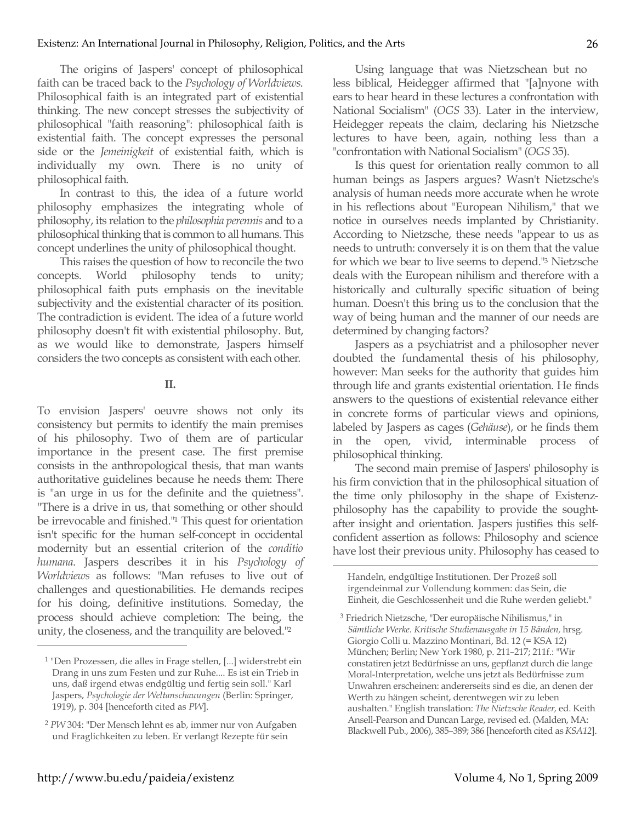The origins of Jaspers' concept of philosophical faith can be traced back to the *Psychology of Worldviews*. Philosophical faith is an integrated part of existential thinking. The new concept stresses the subjectivity of philosophical "faith reasoning": philosophical faith is existential faith. The concept expresses the personal side or the *Jemeinigkeit* of existential faith, which is individually my own. There is no unity of philosophical faith.

In contrast to this, the idea of a future world philosophy emphasizes the integrating whole of philosophy, its relation to the *philosophia perennis* and to a philosophical thinking that is common to all humans. This concept underlines the unity of philosophical thought.

This raises the question of how to reconcile the two concepts. World philosophy tends to unity; philosophical faith puts emphasis on the inevitable subjectivity and the existential character of its position. The contradiction is evident. The idea of a future world philosophy doesn't fit with existential philosophy. But, as we would like to demonstrate, Jaspers himself considers the two concepts as consistent with each other.

## **II.**

To envision Jaspers' oeuvre shows not only its consistency but permits to identify the main premises of his philosophy. Two of them are of particular importance in the present case. The first premise consists in the anthropological thesis, that man wants authoritative guidelines because he needs them: There is "an urge in us for the definite and the quietness". "There is a drive in us, that something or other should be irrevocable and finished."1 This quest for orientation isn't specific for the human self-concept in occidental modernity but an essential criterion of the *conditio humana*. Jaspers describes it in his *Psychology of Worldviews* as follows: "Man refuses to live out of challenges and questionabilities. He demands recipes for his doing, definitive institutions. Someday, the process should achieve completion: The being, the unity, the closeness, and the tranquility are beloved."2

Using language that was Nietzschean but no less biblical, Heidegger affirmed that "[a]nyone with ears to hear heard in these lectures a confrontation with National Socialism" (*OGS* 33). Later in the interview, Heidegger repeats the claim, declaring his Nietzsche lectures to have been, again, nothing less than a "confrontation with National Socialism" (*OGS* 35).

Is this quest for orientation really common to all human beings as Jaspers argues? Wasn't Nietzsche's analysis of human needs more accurate when he wrote in his reflections about "European Nihilism," that we notice in ourselves needs implanted by Christianity. According to Nietzsche, these needs "appear to us as needs to untruth: conversely it is on them that the value for which we bear to live seems to depend."3 Nietzsche deals with the European nihilism and therefore with a historically and culturally specific situation of being human. Doesn't this bring us to the conclusion that the way of being human and the manner of our needs are determined by changing factors?

Jaspers as a psychiatrist and a philosopher never doubted the fundamental thesis of his philosophy, however: Man seeks for the authority that guides him through life and grants existential orientation. He finds answers to the questions of existential relevance either in concrete forms of particular views and opinions, labeled by Jaspers as cages (*Gehäuse*), or he finds them in the open, vivid, interminable process of philosophical thinking.

The second main premise of Jaspers' philosophy is his firm conviction that in the philosophical situation of the time only philosophy in the shape of Existenzphilosophy has the capability to provide the soughtafter insight and orientation. Jaspers justifies this selfconfident assertion as follows: Philosophy and science have lost their previous unity. Philosophy has ceased to

Handeln, endgültige Institutionen. Der Prozeß soll irgendeinmal zur Vollendung kommen: das Sein, die Einheit, die Geschlossenheit und die Ruhe werden geliebt."

 $\overline{a}$ 

<sup>1</sup> "Den Prozessen, die alles in Frage stellen, [...] widerstrebt ein Drang in uns zum Festen und zur Ruhe.... Es ist ein Trieb in uns, daß irgend etwas endgültig und fertig sein soll." Karl Jaspers, *Psychologie der Weltanschauungen* (Berlin: Springer, 1919), p. 304 [henceforth cited as *PW*].

<sup>2</sup> *PW* 304: "Der Mensch lehnt es ab, immer nur von Aufgaben und Fraglichkeiten zu leben. Er verlangt Rezepte für sein

<sup>3</sup> Friedrich Nietzsche, "Der europäische Nihilismus," in *Sämtliche Werke. Kritische Studienausgabe in 15 Bänden,* hrsg. Giorgio Colli u. Mazzino Montinari, Bd. 12 (= KSA 12) München; Berlin; New York 1980, p. 211–217; 211f.: "Wir constatiren jetzt Bedürfnisse an uns, gepflanzt durch die lange Moral-Interpretation, welche uns jetzt als Bedürfnisse zum Unwahren erscheinen: andererseits sind es die, an denen der Werth zu hängen scheint, derentwegen wir zu leben aushalten." English translation: *The Nietzsche Reader,* ed. Keith Ansell-Pearson and Duncan Large, revised ed. (Malden, MA: Blackwell Pub., 2006), 385–389; 386 [henceforth cited as *KSA12*].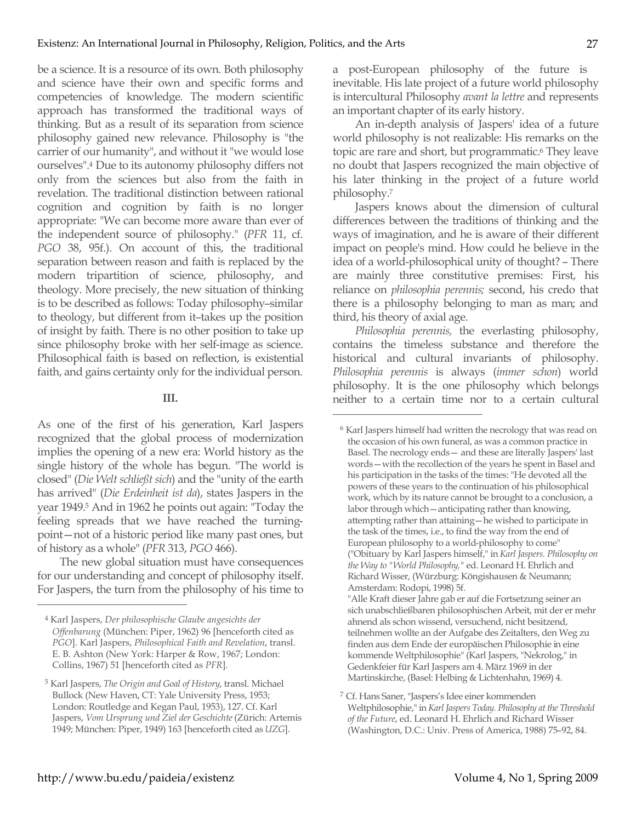be a science. It is a resource of its own. Both philosophy and science have their own and specific forms and competencies of knowledge. The modern scientific approach has transformed the traditional ways of thinking. But as a result of its separation from science philosophy gained new relevance. Philosophy is "the carrier of our humanity", and without it "we would lose ourselves".4 Due to its autonomy philosophy differs not only from the sciences but also from the faith in revelation. The traditional distinction between rational cognition and cognition by faith is no longer appropriate: "We can become more aware than ever of the independent source of philosophy." (*PFR* 11, cf. *PGO* 38, 95f.). On account of this, the traditional separation between reason and faith is replaced by the modern tripartition of science, philosophy, and theology. More precisely, the new situation of thinking is to be described as follows: Today philosophy–similar to theology, but different from it–takes up the position of insight by faith. There is no other position to take up since philosophy broke with her self-image as science. Philosophical faith is based on reflection, is existential faith, and gains certainty only for the individual person.

#### **III.**

As one of the first of his generation, Karl Jaspers recognized that the global process of modernization implies the opening of a new era: World history as the single history of the whole has begun. "The world is closed" (*Die Welt schließt sich*) and the "unity of the earth has arrived" (*Die Erdeinheit ist da*), states Jaspers in the year 1949.5 And in 1962 he points out again: "Today the feeling spreads that we have reached the turningpoint—not of a historic period like many past ones, but of history as a whole" (*PFR* 313, *PGO* 466).

The new global situation must have consequences for our understanding and concept of philosophy itself. For Jaspers, the turn from the philosophy of his time to a post-European philosophy of the future is inevitable. His late project of a future world philosophy is intercultural Philosophy *avant la lettre* and represents an important chapter of its early history.

An in-depth analysis of Jaspers' idea of a future world philosophy is not realizable: His remarks on the topic are rare and short, but programmatic.<sup>6</sup> They leave no doubt that Jaspers recognized the main objective of his later thinking in the project of a future world philosophy.7

Jaspers knows about the dimension of cultural differences between the traditions of thinking and the ways of imagination, and he is aware of their different impact on people's mind. How could he believe in the idea of a world-philosophical unity of thought? – There are mainly three constitutive premises: First, his reliance on *philosophia perennis;* second, his credo that there is a philosophy belonging to man as man; and third, his theory of axial age.

*Philosophia perennis,* the everlasting philosophy, contains the timeless substance and therefore the historical and cultural invariants of philosophy. *Philosophia perennis* is always (*immer schon*) world philosophy. It is the one philosophy which belongs neither to a certain time nor to a certain cultural

 $\overline{a}$ 

"Alle Kraft dieser Jahre gab er auf die Fortsetzung seiner an sich unabschließbaren philosophischen Arbeit, mit der er mehr ahnend als schon wissend, versuchend, nicht besitzend, teilnehmen wollte an der Aufgabe des Zeitalters, den Weg zu finden aus dem Ende der europäischen Philosophie in eine kommende Weltphilosophie" (Karl Jaspers, "Nekrolog," in Gedenkfeier für Karl Jaspers am 4. März 1969 in der Martinskirche, (Basel: Helbing & Lichtenhahn, 1969) 4.

<sup>4</sup> Karl Jaspers, *Der philosophische Glaube angesichts der Offenbarung* (München: Piper, 1962) 96 [henceforth cited as *PGO*]. Karl Jaspers, *Philosophical Faith and Revelation*, transl. E. B. Ashton (New York: Harper & Row, 1967; London: Collins, 1967) 51 [henceforth cited as *PFR*].

<sup>5</sup> Karl Jaspers, *The Origin and Goal of History*, transl. Michael Bullock (New Haven, CT: Yale University Press, 1953; London: Routledge and Kegan Paul, 1953), 127. Cf. Karl Jaspers, *Vom Ursprung und Ziel der Geschichte* (Zürich: Artemis 1949; München: Piper, 1949) 163 [henceforth cited as *UZG*].

<sup>6</sup> Karl Jaspers himself had written the necrology that was read on the occasion of his own funeral, as was a common practice in Basel. The necrology ends— and these are literally Jaspers' last words—with the recollection of the years he spent in Basel and his participation in the tasks of the times: "He devoted all the powers of these years to the continuation of his philosophical work, which by its nature cannot be brought to a conclusion, a labor through which—anticipating rather than knowing, attempting rather than attaining—he wished to participate in the task of the times, i.e., to find the way from the end of European philosophy to a world-philosophy to come" ("Obituary by Karl Jaspers himself," in *Karl Jaspers. Philosophy on the Way to "World Philosophy,"* ed. Leonard H. Ehrlich and Richard Wisser, (Würzburg: Köngishausen & Neumann; Amsterdam: Rodopi, 1998) 5f.

<sup>7</sup> Cf. Hans Saner, "Jaspers's Idee einer kommenden Weltphilosophie," in *Karl Jaspers Today. Philosophy at the Threshold of the Future*, ed. Leonard H. Ehrlich and Richard Wisser (Washington, D.C.: Univ. Press of America, 1988) 75–92, 84.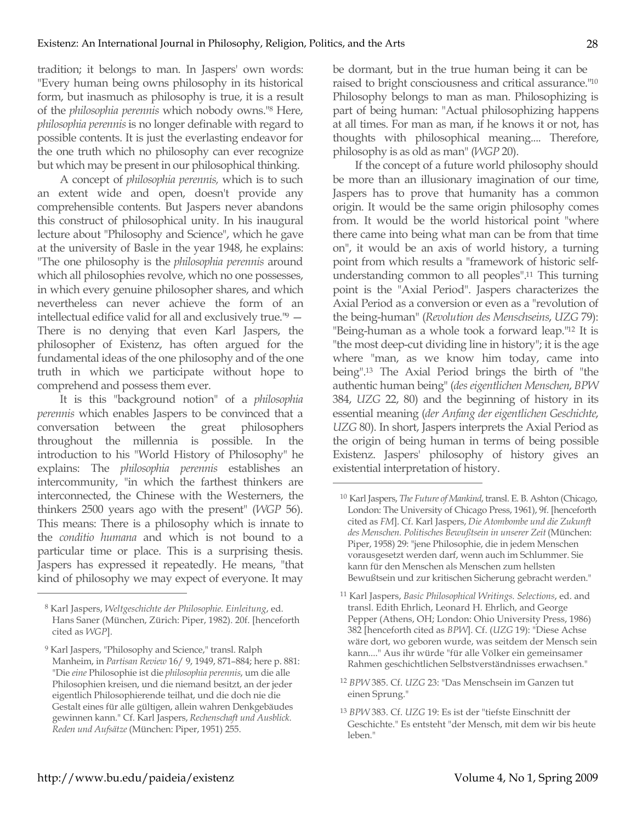tradition; it belongs to man. In Jaspers' own words: "Every human being owns philosophy in its historical form, but inasmuch as philosophy is true, it is a result of the *philosophia perennis* which nobody owns."8 Here, *philosophia perennis* is no longer definable with regard to possible contents. It is just the everlasting endeavor for the one truth which no philosophy can ever recognize but which may be present in our philosophical thinking.

A concept of *philosophia perennis,* which is to such an extent wide and open, doesn't provide any comprehensible contents. But Jaspers never abandons this construct of philosophical unity. In his inaugural lecture about "Philosophy and Science", which he gave at the university of Basle in the year 1948, he explains: "The one philosophy is the *philosophia perennis* around which all philosophies revolve, which no one possesses, in which every genuine philosopher shares, and which nevertheless can never achieve the form of an intellectual edifice valid for all and exclusively true."9 — There is no denying that even Karl Jaspers, the philosopher of Existenz, has often argued for the fundamental ideas of the one philosophy and of the one truth in which we participate without hope to comprehend and possess them ever.

It is this "background notion" of a *philosophia perennis* which enables Jaspers to be convinced that a conversation between the great philosophers throughout the millennia is possible. In the introduction to his "World History of Philosophy" he explains: The *philosophia perennis* establishes an intercommunity, "in which the farthest thinkers are interconnected, the Chinese with the Westerners, the thinkers 2500 years ago with the present" (*WGP* 56). This means: There is a philosophy which is innate to the *conditio humana* and which is not bound to a particular time or place. This is a surprising thesis. Jaspers has expressed it repeatedly. He means, "that kind of philosophy we may expect of everyone. It may be dormant, but in the true human being it can be raised to bright consciousness and critical assurance."10 Philosophy belongs to man as man. Philosophizing is part of being human: "Actual philosophizing happens at all times. For man as man, if he knows it or not, has thoughts with philosophical meaning.... Therefore, philosophy is as old as man" (*WGP* 20).

If the concept of a future world philosophy should be more than an illusionary imagination of our time, Jaspers has to prove that humanity has a common origin. It would be the same origin philosophy comes from. It would be the world historical point "where there came into being what man can be from that time on", it would be an axis of world history, a turning point from which results a "framework of historic selfunderstanding common to all peoples".11 This turning point is the "Axial Period". Jaspers characterizes the Axial Period as a conversion or even as a "revolution of the being-human" (*Revolution des Menschseins*, *UZG* 79): "Being-human as a whole took a forward leap."12 It is "the most deep-cut dividing line in history"; it is the age where "man, as we know him today, came into being".13 The Axial Period brings the birth of "the authentic human being" (*des eigentlichen Menschen*, *BPW* 384, *UZG* 22, 80) and the beginning of history in its essential meaning (*der Anfang der eigentlichen Geschichte*, *UZG* 80). In short, Jaspers interprets the Axial Period as the origin of being human in terms of being possible Existenz. Jaspers' philosophy of history gives an existential interpretation of history.

 $\overline{a}$ 

- <sup>11</sup> Karl Jaspers, *Basic Philosophical Writings. Selections*, ed. and transl. Edith Ehrlich, Leonard H. Ehrlich, and George Pepper (Athens, OH; London: Ohio University Press, 1986) 382 [henceforth cited as *BPW*]. Cf. (*UZG* 19): "Diese Achse wäre dort, wo geboren wurde, was seitdem der Mensch sein kann...." Aus ihr würde "für alle Völker ein gemeinsamer Rahmen geschichtlichen Selbstverständnisses erwachsen."
- <sup>12</sup> *BPW* 385. Cf. *UZG* 23: "Das Menschsein im Ganzen tut einen Sprung."
- <sup>13</sup> *BPW* 383. Cf. *UZG* 19: Es ist der "tiefste Einschnitt der Geschichte." Es entsteht "der Mensch, mit dem wir bis heute leben."

<sup>8</sup> Karl Jaspers, *Weltgeschichte der Philosophie. Einleitung*, ed. Hans Saner (München, Zürich: Piper, 1982). 20f. [henceforth cited as *WGP*].

<sup>&</sup>lt;sup>9</sup> Karl Jaspers, "Philosophy and Science," transl. Ralph Manheim, in *Partisan Review* 16/ 9, 1949, 871–884; here p. 881: "Die *eine* Philosophie ist die *philosophia perennis*, um die alle Philosophien kreisen, und die niemand besitzt, an der jeder eigentlich Philosophierende teilhat, und die doch nie die Gestalt eines für alle gültigen, allein wahren Denkgebäudes gewinnen kann." Cf. Karl Jaspers, *Rechenschaft und Ausblick. Reden und Aufsätze* (München: Piper, 1951) 255.

<sup>10</sup> Karl Jaspers, *The Future of Mankind*, transl. E. B. Ashton (Chicago, London: The University of Chicago Press, 1961), 9f. [henceforth cited as *FM*]. Cf. Karl Jaspers, *Die Atombombe und die Zukunft des Menschen. Politisches Bewußtsein in unserer Zeit* (München: Piper, 1958) 29: "jene Philosophie, die in jedem Menschen vorausgesetzt werden darf, wenn auch im Schlummer. Sie kann für den Menschen als Menschen zum hellsten Bewußtsein und zur kritischen Sicherung gebracht werden."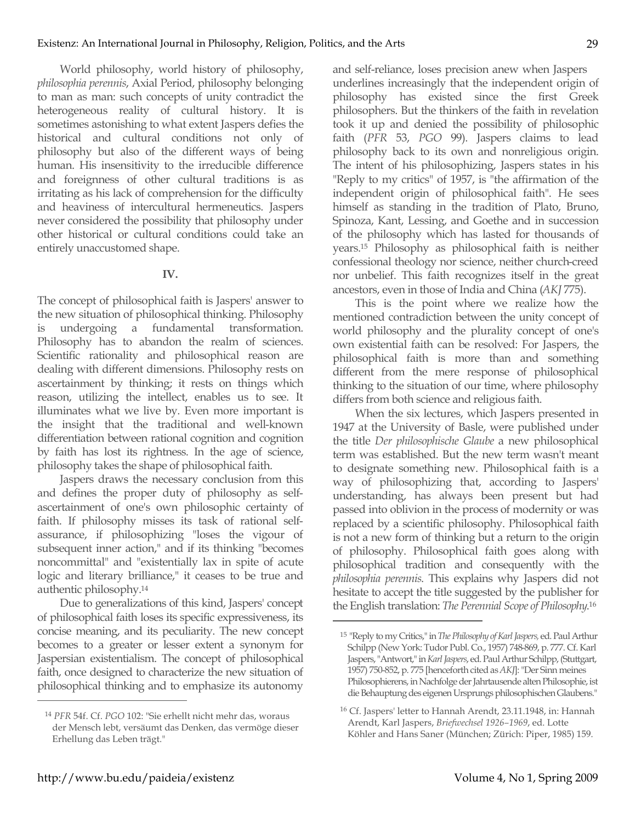World philosophy, world history of philosophy, *philosophia perennis*, Axial Period, philosophy belonging to man as man: such concepts of unity contradict the heterogeneous reality of cultural history. It is sometimes astonishing to what extent Jaspers defies the historical and cultural conditions not only of philosophy but also of the different ways of being human. His insensitivity to the irreducible difference and foreignness of other cultural traditions is as irritating as his lack of comprehension for the difficulty and heaviness of intercultural hermeneutics. Jaspers never considered the possibility that philosophy under other historical or cultural conditions could take an entirely unaccustomed shape.

# **IV.**

The concept of philosophical faith is Jaspers' answer to the new situation of philosophical thinking. Philosophy is undergoing a fundamental transformation. Philosophy has to abandon the realm of sciences. Scientific rationality and philosophical reason are dealing with different dimensions. Philosophy rests on ascertainment by thinking; it rests on things which reason, utilizing the intellect, enables us to see. It illuminates what we live by. Even more important is the insight that the traditional and well-known differentiation between rational cognition and cognition by faith has lost its rightness. In the age of science, philosophy takes the shape of philosophical faith.

Jaspers draws the necessary conclusion from this and defines the proper duty of philosophy as selfascertainment of one's own philosophic certainty of faith. If philosophy misses its task of rational selfassurance, if philosophizing "loses the vigour of subsequent inner action," and if its thinking "becomes noncommittal" and "existentially lax in spite of acute logic and literary brilliance," it ceases to be true and authentic philosophy.14

Due to generalizations of this kind, Jaspers' concept of philosophical faith loses its specific expressiveness, its concise meaning, and its peculiarity. The new concept becomes to a greater or lesser extent a synonym for Jaspersian existentialism. The concept of philosophical faith, once designed to characterize the new situation of philosophical thinking and to emphasize its autonomy and self-reliance, loses precision anew when Jaspers underlines increasingly that the independent origin of philosophy has existed since the first Greek philosophers. But the thinkers of the faith in revelation took it up and denied the possibility of philosophic faith (*PFR* 53, *PGO* 99). Jaspers claims to lead philosophy back to its own and nonreligious origin. The intent of his philosophizing, Jaspers states in his "Reply to my critics" of 1957, is "the affirmation of the independent origin of philosophical faith". He sees himself as standing in the tradition of Plato, Bruno, Spinoza, Kant, Lessing, and Goethe and in succession of the philosophy which has lasted for thousands of years.15 Philosophy as philosophical faith is neither confessional theology nor science, neither church-creed nor unbelief. This faith recognizes itself in the great ancestors, even in those of India and China (*AKJ* 775).

This is the point where we realize how the mentioned contradiction between the unity concept of world philosophy and the plurality concept of one's own existential faith can be resolved: For Jaspers, the philosophical faith is more than and something different from the mere response of philosophical thinking to the situation of our time, where philosophy differs from both science and religious faith.

When the six lectures, which Jaspers presented in 1947 at the University of Basle, were published under the title *Der philosophische Glaube* a new philosophical term was established. But the new term wasn't meant to designate something new. Philosophical faith is a way of philosophizing that, according to Jaspers' understanding, has always been present but had passed into oblivion in the process of modernity or was replaced by a scientific philosophy. Philosophical faith is not a new form of thinking but a return to the origin of philosophy. Philosophical faith goes along with philosophical tradition and consequently with the *philosophia perennis*. This explains why Jaspers did not hesitate to accept the title suggested by the publisher for the English translation: *The Perennial Scope of Philosophy*. 16

 $\overline{a}$ 

<sup>14</sup> *PFR* 54f. Cf. *PGO* 102: "Sie erhellt nicht mehr das, woraus der Mensch lebt, versäumt das Denken, das vermöge dieser Erhellung das Leben trägt."

<sup>15</sup> "Reply to my Critics," in *The Philosophy of Karl Jaspers,* ed. Paul Arthur Schilpp (New York: Tudor Publ. Co., 1957) 748-869, p. 777. Cf. Karl Jaspers, "Antwort," in *Karl Jaspers*, ed. Paul Arthur Schilpp, (Stuttgart, 1957) 750-852, p. 775 [henceforth cited as *AKJ*]: "Der Sinn meines Philosophierens, in Nachfolge der Jahrtausende alten Philosophie, ist die Behauptung des eigenen Ursprungs philosophischen Glaubens."

<sup>16</sup> Cf. Jaspers' letter to Hannah Arendt, 23.11.1948, in: Hannah Arendt, Karl Jaspers, *Briefwechsel 1926–1969*, ed. Lotte Köhler and Hans Saner (München; Zürich: Piper, 1985) 159.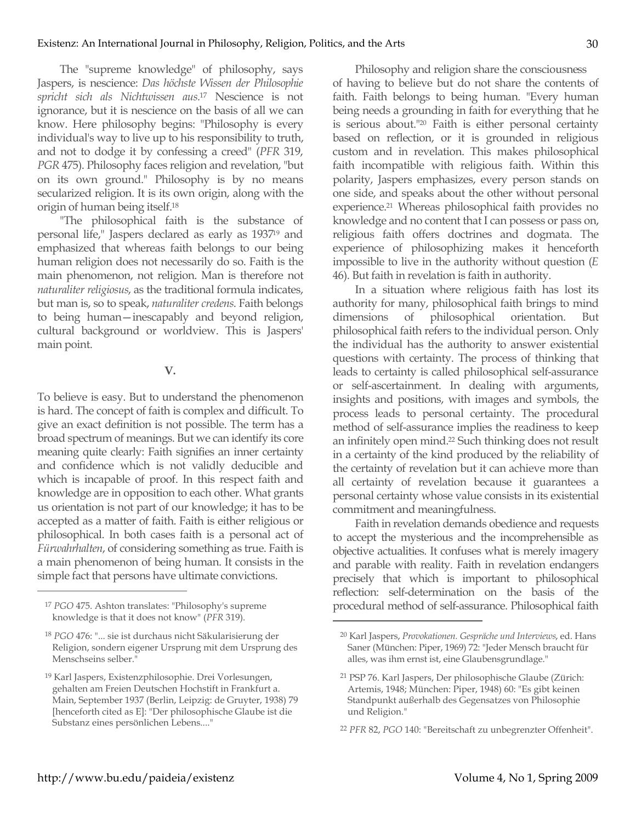The "supreme knowledge" of philosophy, says Jaspers, is nescience: *Das höchste Wissen der Philosophie spricht sich als Nichtwissen aus.*<sup>17</sup> Nescience is not ignorance, but it is nescience on the basis of all we can know. Here philosophy begins: "Philosophy is every individual's way to live up to his responsibility to truth, and not to dodge it by confessing a creed" (*PFR* 319, *PGR* 475). Philosophy faces religion and revelation, "but on its own ground." Philosophy is by no means secularized religion. It is its own origin, along with the origin of human being itself.18

"The philosophical faith is the substance of personal life," Jaspers declared as early as 193719 and emphasized that whereas faith belongs to our being human religion does not necessarily do so. Faith is the main phenomenon, not religion. Man is therefore not *naturaliter religiosus*, as the traditional formula indicates, but man is, so to speak, *naturaliter credens*. Faith belongs to being human—inescapably and beyond religion, cultural background or worldview. This is Jaspers' main point.

## **V.**

To believe is easy. But to understand the phenomenon is hard. The concept of faith is complex and difficult. To give an exact definition is not possible. The term has a broad spectrum of meanings. But we can identify its core meaning quite clearly: Faith signifies an inner certainty and confidence which is not validly deducible and which is incapable of proof. In this respect faith and knowledge are in opposition to each other. What grants us orientation is not part of our knowledge; it has to be accepted as a matter of faith. Faith is either religious or philosophical. In both cases faith is a personal act of *Fürwahrhalten*, of considering something as true. Faith is a main phenomenon of being human. It consists in the simple fact that persons have ultimate convictions.

 $\overline{a}$ 

Philosophy and religion share the consciousness of having to believe but do not share the contents of faith. Faith belongs to being human. "Every human being needs a grounding in faith for everything that he is serious about."20 Faith is either personal certainty based on reflection, or it is grounded in religious custom and in revelation. This makes philosophical faith incompatible with religious faith. Within this polarity, Jaspers emphasizes, every person stands on one side, and speaks about the other without personal experience.<sup>21</sup> Whereas philosophical faith provides no knowledge and no content that I can possess or pass on, religious faith offers doctrines and dogmata. The experience of philosophizing makes it henceforth impossible to live in the authority without question (*E* 46). But faith in revelation is faith in authority.

In a situation where religious faith has lost its authority for many, philosophical faith brings to mind dimensions of philosophical orientation. But philosophical faith refers to the individual person. Only the individual has the authority to answer existential questions with certainty. The process of thinking that leads to certainty is called philosophical self-assurance or self-ascertainment. In dealing with arguments, insights and positions, with images and symbols, the process leads to personal certainty. The procedural method of self-assurance implies the readiness to keep an infinitely open mind.22 Such thinking does not result in a certainty of the kind produced by the reliability of the certainty of revelation but it can achieve more than all certainty of revelation because it guarantees a personal certainty whose value consists in its existential commitment and meaningfulness.

Faith in revelation demands obedience and requests to accept the mysterious and the incomprehensible as objective actualities. It confuses what is merely imagery and parable with reality. Faith in revelation endangers precisely that which is important to philosophical reflection: self-determination on the basis of the procedural method of self-assurance. Philosophical faith

<sup>17</sup> *PGO* 475. Ashton translates: "Philosophy's supreme knowledge is that it does not know" (*PFR* 319).

<sup>18</sup> *PGO* 476: "... sie ist durchaus nicht Säkularisierung der Religion, sondern eigener Ursprung mit dem Ursprung des Menschseins selber."

<sup>19</sup> Karl Jaspers, Existenzphilosophie. Drei Vorlesungen, gehalten am Freien Deutschen Hochstift in Frankfurt a. Main, September 1937 (Berlin, Leipzig: de Gruyter, 1938) 79 [henceforth cited as E]: "Der philosophische Glaube ist die Substanz eines persönlichen Lebens...."

<sup>20</sup> Karl Jaspers, *Provokationen. Gespräche und Interviews*, ed. Hans Saner (München: Piper, 1969) 72: "Jeder Mensch braucht für alles, was ihm ernst ist, eine Glaubensgrundlage."

<sup>21</sup> PSP 76. Karl Jaspers, Der philosophische Glaube (Zürich: Artemis, 1948; München: Piper, 1948) 60: "Es gibt keinen Standpunkt außerhalb des Gegensatzes von Philosophie und Religion."

<sup>22</sup> *PFR* 82, *PGO* 140: "Bereitschaft zu unbegrenzter Offenheit".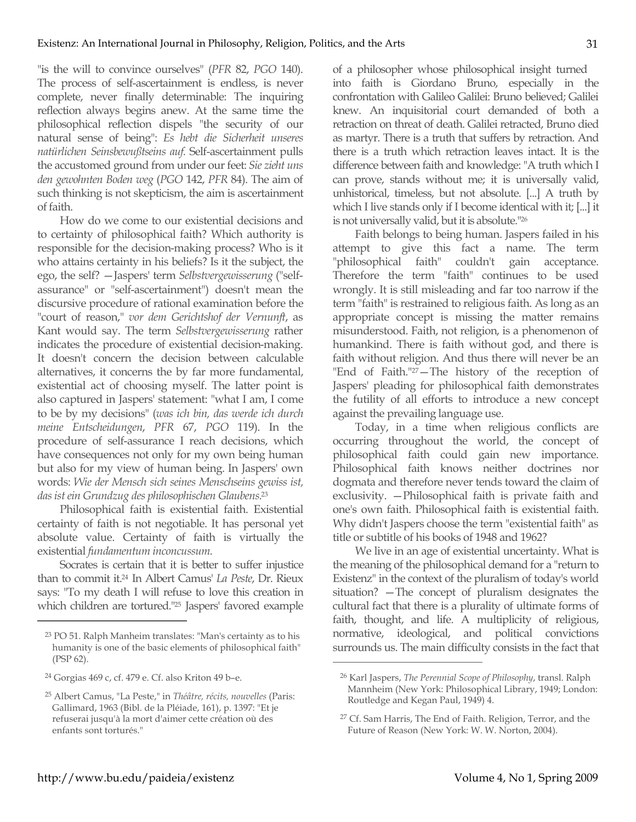"is the will to convince ourselves" (*PFR* 82, *PGO* 140). The process of self-ascertainment is endless, is never complete, never finally determinable: The inquiring reflection always begins anew. At the same time the philosophical reflection dispels "the security of our natural sense of being": *Es hebt die Sicherheit unseres natürlichen Seinsbewußtseins auf.* Self-ascertainment pulls the accustomed ground from under our feet: *Sie zieht uns den gewohnten Boden weg* (*PGO* 142, *PFR* 84). The aim of such thinking is not skepticism, the aim is ascertainment of faith.

How do we come to our existential decisions and to certainty of philosophical faith? Which authority is responsible for the decision-making process? Who is it who attains certainty in his beliefs? Is it the subject, the ego, the self? —Jaspers' term *Selbstvergewisserung* ("selfassurance" or "self-ascertainment") doesn't mean the discursive procedure of rational examination before the "court of reason," *vor dem Gerichtshof der Vernunft*, as Kant would say. The term *Selbstvergewisserung* rather indicates the procedure of existential decision-making. It doesn't concern the decision between calculable alternatives, it concerns the by far more fundamental, existential act of choosing myself. The latter point is also captured in Jaspers' statement: "what I am, I come to be by my decisions" (*was ich bin, das werde ich durch meine Entscheidungen*, *PFR* 67, *PGO* 119). In the procedure of self-assurance I reach decisions, which have consequences not only for my own being human but also for my view of human being. In Jaspers' own words: *Wie der Mensch sich seines Menschseins gewiss ist, das ist ein Grundzug des philosophischen Glaubens.*<sup>23</sup>

Philosophical faith is existential faith. Existential certainty of faith is not negotiable. It has personal yet absolute value. Certainty of faith is virtually the existential *fundamentum inconcussum*.

Socrates is certain that it is better to suffer injustice than to commit it.24 In Albert Camus' *La Peste*, Dr. Rieux says: "To my death I will refuse to love this creation in which children are tortured."25 Jaspers' favored example

 $\overline{a}$ 

of a philosopher whose philosophical insight turned into faith is Giordano Bruno, especially in the confrontation with Galileo Galilei: Bruno believed; Galilei knew. An inquisitorial court demanded of both a retraction on threat of death. Galilei retracted, Bruno died as martyr. There is a truth that suffers by retraction. And there is a truth which retraction leaves intact. It is the difference between faith and knowledge: "A truth which I can prove, stands without me; it is universally valid, unhistorical, timeless, but not absolute. [...] A truth by which I live stands only if I become identical with it; [...] it is not universally valid, but it is absolute."26

Faith belongs to being human. Jaspers failed in his attempt to give this fact a name. The term "philosophical faith" couldn't gain acceptance. Therefore the term "faith" continues to be used wrongly. It is still misleading and far too narrow if the term "faith" is restrained to religious faith. As long as an appropriate concept is missing the matter remains misunderstood. Faith, not religion, is a phenomenon of humankind. There is faith without god, and there is faith without religion. And thus there will never be an "End of Faith."<sup>27</sup>-The history of the reception of Jaspers' pleading for philosophical faith demonstrates the futility of all efforts to introduce a new concept against the prevailing language use.

Today, in a time when religious conflicts are occurring throughout the world, the concept of philosophical faith could gain new importance. Philosophical faith knows neither doctrines nor dogmata and therefore never tends toward the claim of exclusivity. —Philosophical faith is private faith and one's own faith. Philosophical faith is existential faith. Why didn't Jaspers choose the term "existential faith" as title or subtitle of his books of 1948 and 1962?

We live in an age of existential uncertainty. What is the meaning of the philosophical demand for a "return to Existenz" in the context of the pluralism of today's world situation? —The concept of pluralism designates the cultural fact that there is a plurality of ultimate forms of faith, thought, and life. A multiplicity of religious, normative, ideological, and political convictions surrounds us. The main difficulty consists in the fact that

<sup>23</sup> PO 51. Ralph Manheim translates: "Man's certainty as to his humanity is one of the basic elements of philosophical faith" (PSP 62).

<sup>24</sup> Gorgias 469 c, cf. 479 e. Cf. also Kriton 49 b–e.

<sup>25</sup> Albert Camus, "La Peste," in *Théâtre, récits, nouvelles* (Paris: Gallimard, 1963 (Bibl. de la Pléiade, 161), p. 1397: "Et je refuserai jusqu'à la mort d'aimer cette création où des enfants sont torturés."

<sup>26</sup> Karl Jaspers, *The Perennial Scope of Philosophy*, transl. Ralph Mannheim (New York: Philosophical Library, 1949; London: Routledge and Kegan Paul, 1949) 4.

<sup>27</sup> Cf. Sam Harris, The End of Faith. Religion, Terror, and the Future of Reason (New York: W. W. Norton, 2004).